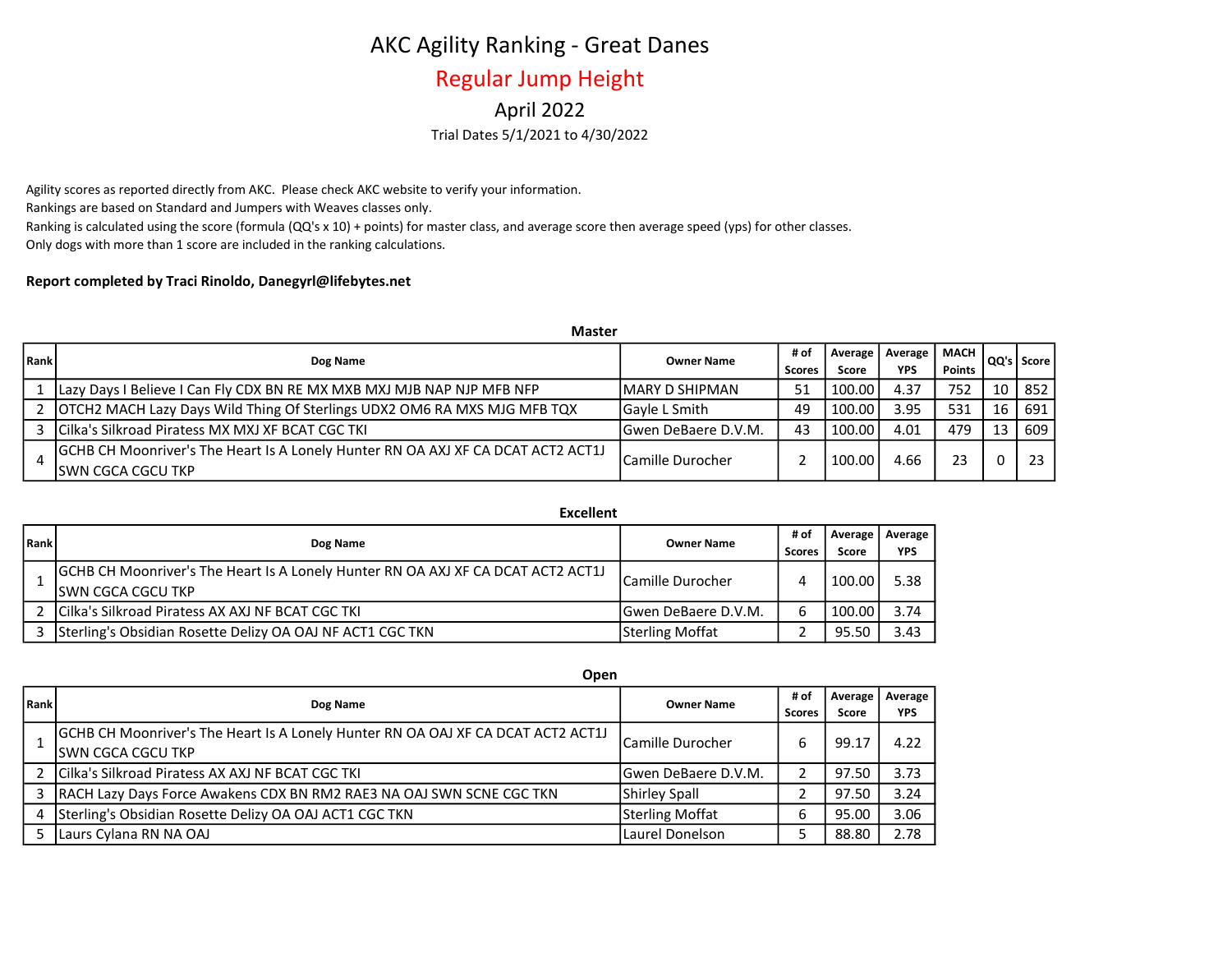## AKC Agility Ranking - Great Danes

## Regular Jump Height

### Trial Dates 5/1/2021 to 4/30/2022 April 2022

Agility scores as reported directly from AKC. Please check AKC website to verify your information. Rankings are based on Standard and Jumpers with Weaves classes only. Ranking is calculated using the score (formula (QQ's x 10) + points) for master class, and average score then average speed (yps) for other classes. Only dogs with more than 1 score are included in the ranking calculations.

#### Report completed by Traci Rinoldo, Danegyrl@lifebytes.net

|        | <b>Master</b>                                                                                          |                      |                       |                    |                       |                       |    |              |
|--------|--------------------------------------------------------------------------------------------------------|----------------------|-----------------------|--------------------|-----------------------|-----------------------|----|--------------|
| l Rank | Dog Name                                                                                               | <b>Owner Name</b>    | # of<br><b>Scores</b> | Average  <br>Score | Average<br><b>YPS</b> | <b>MACH</b><br>Points |    | QQ's   Score |
|        | Lazy Days I Believe I Can Fly CDX BN RE MX MXB MXJ MJB NAP NJP MFB NFP                                 | IMARY D SHIPMAN      | 51                    | 100.00             | 4.37                  | 752                   | 10 | 852          |
|        | 2   OTCH2 MACH Lazy Days Wild Thing Of Sterlings UDX2 OM6 RA MXS MJG MFB TQX                           | lGavle L Smith       | 49                    | 100.00             | 3.95                  | 531                   | 16 | 691          |
| 3      | Cilka's Silkroad Piratess MX MXJ XF BCAT CGC TKI                                                       | lGwen DeBaere D.V.M. | 43                    | 100.00             | 4.01                  | 479                   | 13 | 609          |
|        | GCHB CH Moonriver's The Heart Is A Lonely Hunter RN OA AXJ XF CA DCAT ACT2 ACT1J<br>ISWN CGCA CGCU TKP | lCamille Durocher    |                       | 100.00             | 4.66                  | 23                    |    | 23           |

Excellent

| Rank | Dog Name                                                                                               | <b>Owner Name</b>      | # of<br><b>Scores</b> | l Average I<br>Score | Average<br><b>YPS</b> |
|------|--------------------------------------------------------------------------------------------------------|------------------------|-----------------------|----------------------|-----------------------|
|      | GCHB CH Moonriver's The Heart Is A Lonely Hunter RN OA AXJ XF CA DCAT ACT2 ACT1J<br>ISWN CGCA CGCU TKP | lCamille Durocher      |                       | 100.00               | 5.38                  |
|      | Cilka's Silkroad Piratess AX AXJ NF BCAT CGC TKI                                                       | lGwen DeBaere D.V.M.   | h                     | 100.00               | 3.74                  |
|      | Sterling's Obsidian Rosette Delizy OA OAJ NF ACT1 CGC TKN                                              | <b>Sterling Moffat</b> |                       | 95.50                | 3.43                  |

|             | <b>UDEII</b>                                                                                            |                         |                       |                  |                       |
|-------------|---------------------------------------------------------------------------------------------------------|-------------------------|-----------------------|------------------|-----------------------|
| <b>Rank</b> | Dog Name                                                                                                | <b>Owner Name</b>       | # of<br><b>Scores</b> | Average<br>Score | Average<br><b>YPS</b> |
|             | [GCHB CH Moonriver's The Heart Is A Lonely Hunter RN OA OAJ XF CA DCAT ACT2 ACT1J<br>ISWN CGCA CGCU TKP | <b>Camille Durocher</b> | ь                     | 99.17            | 4.22                  |
|             | Cilka's Silkroad Piratess AX AXJ NF BCAT CGC TKI                                                        | lGwen DeBaere D.V.M.    |                       | 97.50            | 3.73                  |
|             | RACH Lazy Days Force Awakens CDX BN RM2 RAE3 NA OAJ SWN SCNE CGC TKN                                    | Shirley Spall           |                       | 97.50            | 3.24                  |
|             | Sterling's Obsidian Rosette Delizy OA OAJ ACT1 CGC TKN                                                  | <b>Sterling Moffat</b>  | ь                     | 95.00            | 3.06                  |
|             | Laurs Cylana RN NA OAJ                                                                                  | Laurel Donelson         |                       | 88.80            | 2.78                  |

Onen